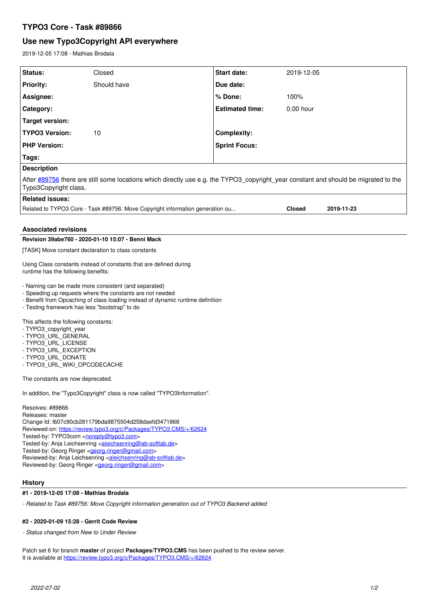# **TYPO3 Core - Task #89866**

# **Use new Typo3Copyright API everywhere**

2019-12-05 17:08 - Mathias Brodala

| Status:                                                                                                                                                                                                                                                                                                                                                                                                                                                                                                                                                                    | Closed      | <b>Start date:</b>     | 2019-12-05    |            |
|----------------------------------------------------------------------------------------------------------------------------------------------------------------------------------------------------------------------------------------------------------------------------------------------------------------------------------------------------------------------------------------------------------------------------------------------------------------------------------------------------------------------------------------------------------------------------|-------------|------------------------|---------------|------------|
| <b>Priority:</b>                                                                                                                                                                                                                                                                                                                                                                                                                                                                                                                                                           | Should have | Due date:              |               |            |
| Assignee:                                                                                                                                                                                                                                                                                                                                                                                                                                                                                                                                                                  |             | % Done:                | 100%          |            |
| Category:                                                                                                                                                                                                                                                                                                                                                                                                                                                                                                                                                                  |             | <b>Estimated time:</b> | $0.00$ hour   |            |
| <b>Target version:</b>                                                                                                                                                                                                                                                                                                                                                                                                                                                                                                                                                     |             |                        |               |            |
| <b>TYPO3 Version:</b>                                                                                                                                                                                                                                                                                                                                                                                                                                                                                                                                                      | 10          | Complexity:            |               |            |
| <b>PHP Version:</b>                                                                                                                                                                                                                                                                                                                                                                                                                                                                                                                                                        |             | <b>Sprint Focus:</b>   |               |            |
| Tags:                                                                                                                                                                                                                                                                                                                                                                                                                                                                                                                                                                      |             |                        |               |            |
| <b>Description</b>                                                                                                                                                                                                                                                                                                                                                                                                                                                                                                                                                         |             |                        |               |            |
| After #89756 there are still some locations which directly use e.g. the TYPO3_copyright_year constant and should be migrated to the<br>Typo3Copyright class.                                                                                                                                                                                                                                                                                                                                                                                                               |             |                        |               |            |
| <b>Related issues:</b>                                                                                                                                                                                                                                                                                                                                                                                                                                                                                                                                                     |             |                        |               |            |
| Related to TYPO3 Core - Task #89756: Move Copyright information generation ou                                                                                                                                                                                                                                                                                                                                                                                                                                                                                              |             |                        | <b>Closed</b> | 2019-11-23 |
| <b>Associated revisions</b>                                                                                                                                                                                                                                                                                                                                                                                                                                                                                                                                                |             |                        |               |            |
| Revision 39abe760 - 2020-01-10 15:07 - Benni Mack                                                                                                                                                                                                                                                                                                                                                                                                                                                                                                                          |             |                        |               |            |
| [TASK] Move constant declaration to class constants                                                                                                                                                                                                                                                                                                                                                                                                                                                                                                                        |             |                        |               |            |
| Using Class constants instead of constants that are defined during<br>runtime has the following benefits:                                                                                                                                                                                                                                                                                                                                                                                                                                                                  |             |                        |               |            |
| - Naming can be made more consistent (and separated)<br>- Speeding up requests where the constants are not needed<br>- Benefit from Opcaching of class loading instead of dynamic runtime definition<br>- Testing framework has less "bootstrap" to do                                                                                                                                                                                                                                                                                                                     |             |                        |               |            |
| This affects the following constants:<br>- TYPO3 copyright year<br>- TYPO3 URL GENERAL<br>- TYPO3_URL_LICENSE<br>- TYPO3_URL_EXCEPTION<br>- TYPO3_URL_DONATE<br>- TYPO3_URL_WIKI_OPCODECACHE                                                                                                                                                                                                                                                                                                                                                                               |             |                        |               |            |
| The constants are now deprecated.                                                                                                                                                                                                                                                                                                                                                                                                                                                                                                                                          |             |                        |               |            |
| In addition, the "Typo3Copyright" class is now called "TYPO3Information".                                                                                                                                                                                                                                                                                                                                                                                                                                                                                                  |             |                        |               |            |
| Resolves: #89866<br>Releases: master<br>Change-Id: I607c90cb281179bda9875504d258daefd3471868<br>Reviewed-on: https://review.typo3.org/c/Packages/TYPO3.CMS/+/62624<br>Tested-by: TYPO3com <noreply@typo3.com><br/>Tested-by: Anja Leichsenring <aleichsenring@ab-softlab.de><br/>Tested-by: Georg Ringer &lt; georg.ringer@gmail.com&gt;<br/>Reviewed-by: Anja Leichsenring <aleichsenring@ab-softlab.de><br/>Reviewed-by: Georg Ringer &lt; georg.ringer@gmail.com&gt;<br/><b>History</b></aleichsenring@ab-softlab.de></aleichsenring@ab-softlab.de></noreply@typo3.com> |             |                        |               |            |
| #1 - 2019-12-05 17:08 - Mathias Brodala                                                                                                                                                                                                                                                                                                                                                                                                                                                                                                                                    |             |                        |               |            |
| - Related to Task #89756: Move Copyright information generation out of TYPO3 Backend added                                                                                                                                                                                                                                                                                                                                                                                                                                                                                 |             |                        |               |            |

## **#2 - 2020-01-09 15:28 - Gerrit Code Review**

*- Status changed from New to Under Review*

Patch set 6 for branch **master** of project **Packages/TYPO3.CMS** has been pushed to the review server. It is available at <https://review.typo3.org/c/Packages/TYPO3.CMS/+/62624>